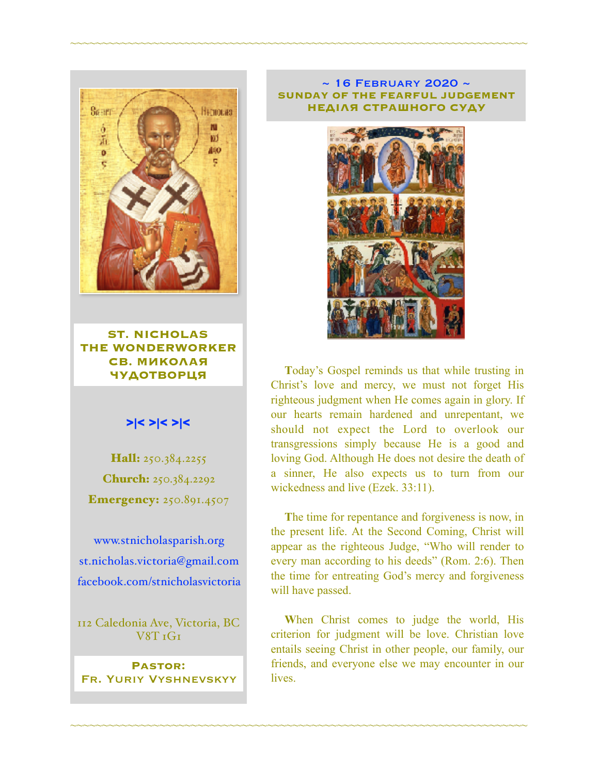

**ST. NICHOLAS THE WONDERWORKER СВ. МИКОЛАЯ ЧУДОТВОРЦЯ**

### >|< >|< >|<

Hall: 250.384.2255 Church: 250.384.2292 **Emergency: 250.891.4507** 

[www.stnicholasparish.org](http://www.stnicholasparish.org) [st.nicholas.victoria@gmail.com](mailto:st.nicholas.victoria@gmail.com) [facebook.com/stnicholasvictoria](http://facebook.com/stnicholasvictoria)

112 Caledonia Ave, Victoria, BC V8T 1G1

**Pastor:**  Fr. Yuriy Vyshnevskyy

#### $\sim$  16 FEBRUARY 2020  $\sim$ **SUNDAY OF THE FEARFUL JUDGEMENT НЕДІЛЯ СТРАШНОГО СУДУ**

~~~~~~~~~~~~~~~~~~~~~~~~~~~~~~~~~~~~~~~~~~~~~~~~~~~~~~~~~~~~~~~~~~~~~~~~



**T**oday's Gospel reminds us that while trusting in Christ's love and mercy, we must not forget His righteous judgment when He comes again in glory. If our hearts remain hardened and unrepentant, we should not expect the Lord to overlook our transgressions simply because He is a good and loving God. Although He does not desire the death of a sinner, He also expects us to turn from our wickedness and live (Ezek. 33:11).

**T**he time for repentance and forgiveness is now, in the present life. At the Second Coming, Christ will appear as the righteous Judge, "Who will render to every man according to his deeds" (Rom. 2:6). Then the time for entreating God's mercy and forgiveness will have passed.

**W**hen Christ comes to judge the world, His criterion for judgment will be love. Christian love entails seeing Christ in other people, our family, our friends, and everyone else we may encounter in our lives.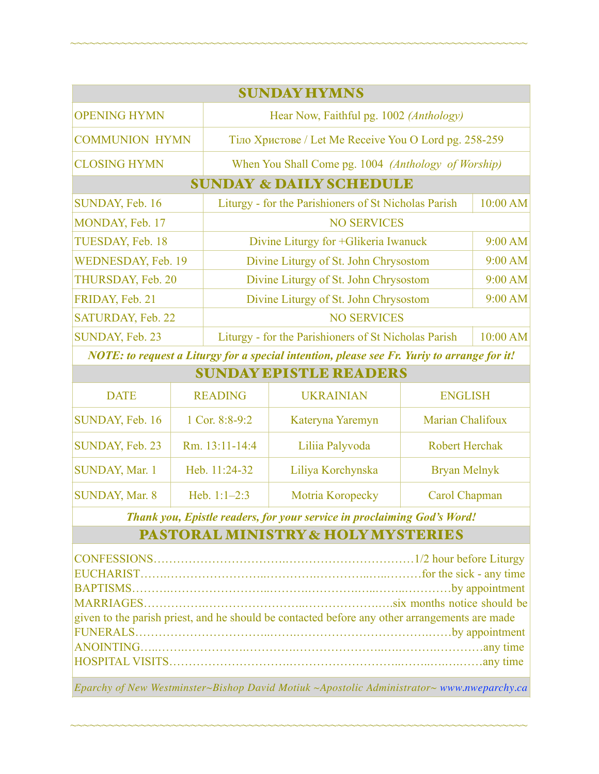| <b>SUNDAY HYMNS</b>                |                                                                  |          |  |  |
|------------------------------------|------------------------------------------------------------------|----------|--|--|
| <b>OPENING HYMN</b>                | Hear Now, Faithful pg. 1002 (Anthology)                          |          |  |  |
| <b>COMMUNION HYMN</b>              | Тіло Христове / Let Me Receive You O Lord pg. 258-259            |          |  |  |
| <b>CLOSING HYMN</b>                | When You Shall Come pg. 1004 (Anthology of Worship)              |          |  |  |
| <b>SUNDAY &amp; DAILY SCHEDULE</b> |                                                                  |          |  |  |
| SUNDAY, Feb. 16                    | Liturgy - for the Parishioners of St Nicholas Parish             | 10:00 AM |  |  |
| MONDAY, Feb. 17                    | <b>NO SERVICES</b>                                               |          |  |  |
| TUESDAY, Feb. 18                   | Divine Liturgy for +Glikeria Iwanuck                             | 9:00 AM  |  |  |
| WEDNESDAY, Feb. 19                 | 9:00 AM<br>Divine Liturgy of St. John Chrysostom                 |          |  |  |
| THURSDAY, Feb. 20                  | Divine Liturgy of St. John Chrysostom<br>9:00 AM                 |          |  |  |
| FRIDAY, Feb. 21                    | Divine Liturgy of St. John Chrysostom<br>$9:00$ AM               |          |  |  |
| SATURDAY, Feb. 22                  | <b>NO SERVICES</b>                                               |          |  |  |
| SUNDAY, Feb. 23                    | 10:00 AM<br>Liturgy - for the Parishioners of St Nicholas Parish |          |  |  |

~~~~~~~~~~~~~~~~~~~~~~~~~~~~~~~~~~~~~~~~~~~~~~~~~~~~~~~~~~~~~~~~~~~~~~~~

*NOTE: to request a Liturgy for a special intention, please see Fr. Yuriy to arrange for it!* SUNDAY EPISTLE READERS

| SUNDAY BPISTLE KEADEKS |                |                   |                       |  |
|------------------------|----------------|-------------------|-----------------------|--|
| <b>DATE</b>            | <b>READING</b> | <b>UKRAINIAN</b>  | <b>ENGLISH</b>        |  |
| SUNDAY, Feb. 16        | 1 Cor. 8:8-9:2 | Kateryna Yaremyn  | Marian Chalifoux      |  |
| SUNDAY, Feb. 23        | Rm. 13:11-14:4 | Liliia Palyvoda   | <b>Robert Herchak</b> |  |
| <b>SUNDAY, Mar. 1</b>  | Heb. 11:24-32  | Liliya Korchynska | <b>Bryan Melnyk</b>   |  |
| <b>SUNDAY, Mar. 8</b>  | Heb. $1:1-2:3$ | Motria Koropecky  | Carol Chapman         |  |

*Thank you, Epistle readers, for your service in proclaiming God's Word!*

## PASTORAL MINISTRY & HOLY MYSTERIES

| given to the parish priest, and he should be contacted before any other arrangements are made |  |  |
|-----------------------------------------------------------------------------------------------|--|--|
|                                                                                               |  |  |
|                                                                                               |  |  |
|                                                                                               |  |  |
|                                                                                               |  |  |

*Eparchy of New Westminster~Bishop David Motiuk ~Apostolic Administrator~ [www.nweparchy.ca](http://www.nweparchy.ca)*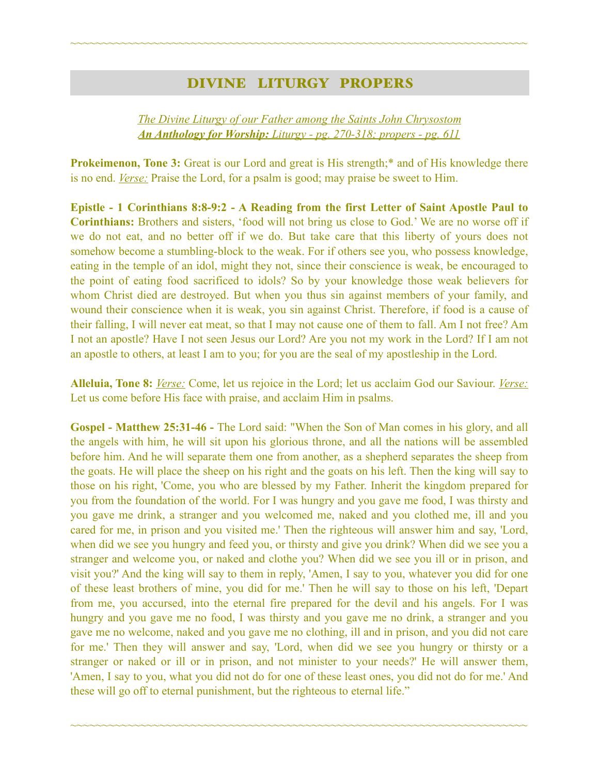## DIVINE LITURGY PROPERS

~~~~~~~~~~~~~~~~~~~~~~~~~~~~~~~~~~~~~~~~~~~~~~~~~~~~~~~~~~~~~~~~~~~~~~~~

*The Divine Liturgy of our Father among the Saints John Chrysostom An Anthology for Worship: Liturgy - pg. 270-318; propers - pg. 611* 

**Prokeimenon, Tone 3:** Great is our Lord and great is His strength;<sup>\*</sup> and of His knowledge there is no end. *Verse:* Praise the Lord, for a psalm is good; may praise be sweet to Him.

**Epistle - 1 Corinthians 8:8-9:2 - A Reading from the first Letter of Saint Apostle Paul to Corinthians:** Brothers and sisters, 'food will not bring us close to God.' We are no worse off if we do not eat, and no better off if we do. But take care that this liberty of yours does not somehow become a stumbling-block to the weak. For if others see you, who possess knowledge, eating in the temple of an idol, might they not, since their conscience is weak, be encouraged to the point of eating food sacrificed to idols? So by your knowledge those weak believers for whom Christ died are destroyed. But when you thus sin against members of your family, and wound their conscience when it is weak, you sin against Christ. Therefore, if food is a cause of their falling, I will never eat meat, so that I may not cause one of them to fall. Am I not free? Am I not an apostle? Have I not seen Jesus our Lord? Are you not my work in the Lord? If I am not an apostle to others, at least I am to you; for you are the seal of my apostleship in the Lord.

**Alleluia, Tone 8:** *Verse:* Come, let us rejoice in the Lord; let us acclaim God our Saviour. *Verse:* Let us come before His face with praise, and acclaim Him in psalms.

**Gospel - Matthew 25:31-46 -** The Lord said: "When the Son of Man comes in his glory, and all the angels with him, he will sit upon his glorious throne, and all the nations will be assembled before him. And he will separate them one from another, as a shepherd separates the sheep from the goats. He will place the sheep on his right and the goats on his left. Then the king will say to those on his right, 'Come, you who are blessed by my Father. Inherit the kingdom prepared for you from the foundation of the world. For I was hungry and you gave me food, I was thirsty and you gave me drink, a stranger and you welcomed me, naked and you clothed me, ill and you cared for me, in prison and you visited me.' Then the righteous will answer him and say, 'Lord, when did we see you hungry and feed you, or thirsty and give you drink? When did we see you a stranger and welcome you, or naked and clothe you? When did we see you ill or in prison, and visit you?' And the king will say to them in reply, 'Amen, I say to you, whatever you did for one of these least brothers of mine, you did for me.' Then he will say to those on his left, 'Depart from me, you accursed, into the eternal fire prepared for the devil and his angels. For I was hungry and you gave me no food, I was thirsty and you gave me no drink, a stranger and you gave me no welcome, naked and you gave me no clothing, ill and in prison, and you did not care for me.' Then they will answer and say, 'Lord, when did we see you hungry or thirsty or a stranger or naked or ill or in prison, and not minister to your needs?' He will answer them, 'Amen, I say to you, what you did not do for one of these least ones, you did not do for me.' And these will go off to eternal punishment, but the righteous to eternal life."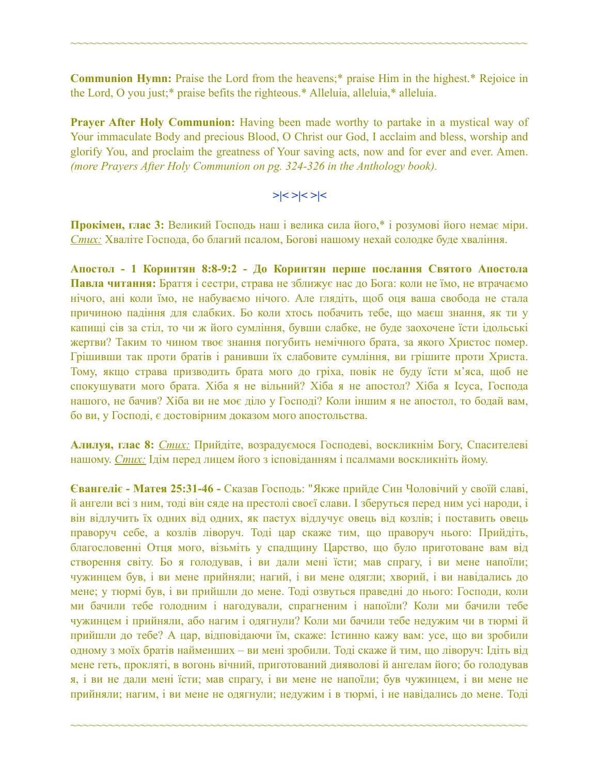**Communion Hymn:** Praise the Lord from the heavens;\* praise Him in the highest.\* Rejoice in the Lord, O you just;\* praise befits the righteous.\* Alleluia, alleluia,\* alleluia.

~~~~~~~~~~~~~~~~~~~~~~~~~~~~~~~~~~~~~~~~~~~~~~~~~~~~~~~~~~~~~~~~~~~~~~~~

**Prayer After Holy Communion:** Having been made worthy to partake in a mystical way of Your immaculate Body and precious Blood, O Christ our God, I acclaim and bless, worship and glorify You, and proclaim the greatness of Your saving acts, now and for ever and ever. Amen. *(more Prayers After Holy Communion on pg. 324-326 in the Anthology book).* 

$$
>\mid <>\mid < \mid <
$$

**Прокімен, глас 3:** Великий Господь наш і велика сила його,\* і розумові його немає міри. *Стих:* Хваліте Господа, бо благий псалом, Богові нашому нехай солодке буде хваління.

**Апостол - 1 Коринтян 8:8-9:2 - До Коринтян перше послання Святого Апостола Павла читання:** Браття і сестри, страва не зближує нас до Бога: коли не їмо, не втрачаємо нічого, ані коли їмо, не набуваємо нічого. Але глядіть, щоб оця ваша свобода не стала причиною падіння для слабких. Бо коли хтось побачить тебе, що маєш знання, як ти у капищі сів за стіл, то чи ж його сумління, бувши слабке, не буде заохочене їсти ідольські жертви? Таким то чином твоє знання погубить немічного брата, за якого Христос помер. Грішивши так проти братів і ранивши їх слабовите сумління, ви грішите проти Христа. Тому, якщо страва призводить брата мого до гріха, повік не буду їсти м'яса, щоб не спокушувати мого брата. Хіба я не вільний? Хіба я не апостол? Хіба я Ісуса, Господа нашого, не бачив? Хіба ви не моє діло у Господі? Коли іншим я не апостол, то бодай вам, бо ви, у Господі, є достовірним доказом мого апостольства.

**Алилуя, глас 8:** *Стих:* Прийдіте, возрадуємося Господеві, воскликнім Богу, Спасителеві нашому. *Стих:* Ідім перед лицем його з ісповіданням і псалмами воскликніть йому.

**Євангеліє - Матея 25:31-46 -** Сказав Господь: "Якже прийде Син Чоловічий у своїй славі, й ангели всі з ним, тоді він сяде на престолі своєї слави. І зберуться перед ним усі народи, і він відлучить їх одних від одних, як пастух відлучує овець від козлів; і поставить овець праворуч себе, а козлів ліворуч. Тоді цар скаже тим, що праворуч нього: Прийдіть, благословенні Отця мого, візьміть у спадщину Царство, що було приготоване вам від створення світу. Бо я голодував, і ви дали мені їсти; мав спрагу, і ви мене напоїли; чужинцем був, і ви мене прийняли; нагий, і ви мене одягли; хворий, і ви навідались до мене; у тюрмі був, і ви прийшли до мене. Тоді озвуться праведні до нього: Господи, коли ми бачили тебе голодним і нагодували, спрагненим і напоїли? Коли ми бачили тебе чужинцем і прийняли, або нагим і одягнули? Коли ми бачили тебе недужим чи в тюрмі й прийшли до тебе? А цар, відповідаючи їм, скаже: Істинно кажу вам: усе, що ви зробили одному з моїх братів найменших – ви мені зробили. Тоді скаже й тим, що ліворуч: Ідіть від мене геть, прокляті, в вогонь вічний, приготований дияволові й ангелам його; бо голодував я, і ви не дали мені їсти; мав спрагу, і ви мене не напоїли; був чужинцем, і ви мене не прийняли; нагим, і ви мене не одягнули; недужим і в тюрмі, і не навідались до мене. Тоді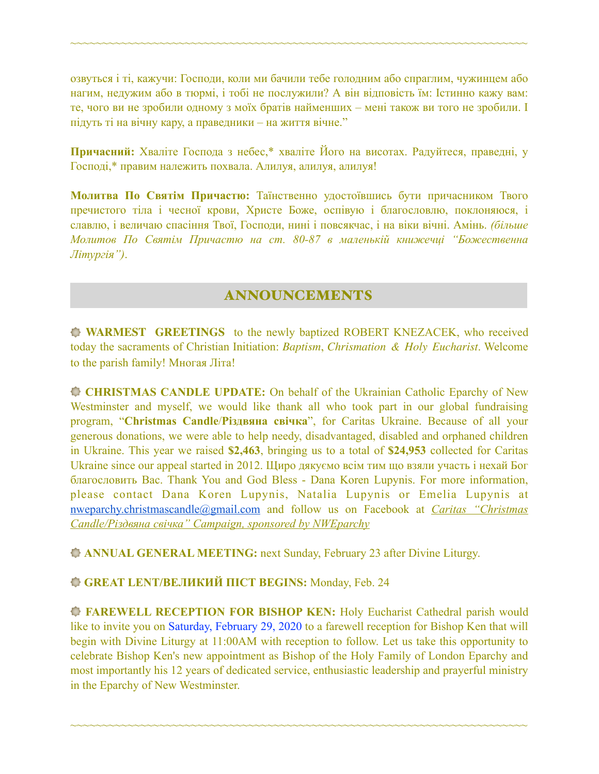озвуться і ті, кажучи: Господи, коли ми бачили тебе голодним або спраглим, чужинцем або нагим, недужим або в тюрмі, і тобі не послужили? А він відповість їм: Істинно кажу вам: те, чого ви не зробили одному з моїх братів найменших – мені також ви того не зробили. І підуть ті на вічну кару, а праведники – на життя вічне."

~~~~~~~~~~~~~~~~~~~~~~~~~~~~~~~~~~~~~~~~~~~~~~~~~~~~~~~~~~~~~~~~~~~~~~~~

**Причасний:** Хваліте Господа з небес,\* хваліте Його на висотах. Радуйтеся, праведні, у Господі,\* правим належить похвала. Алилуя, aлилуя, aлилуя!

**Молитва По Святім Причастю:** Таїнственно удостоївшись бути причасником Твого пречистого тіла і чесної крови, Христе Боже, оспівую і благословлю, поклоняюся, і славлю, і величаю спасіння Твої, Господи, нині і повсякчас, і на віки вічні. Амінь. *(більше Молитов По Святім Причастю на ст. 80-87 в маленькій книжечці "Божественна Літургія")*.

# ANNOUNCEMENTS

**WARMEST GREETINGS** to the newly baptized ROBERT KNEZACEK, who received today the sacraments of Christian Initiation: *Baptism*, *Chrismation & Holy Eucharist*. Welcome to the parish family! Многая Літа!

**CHRISTMAS CANDLE UPDATE:** On behalf of the Ukrainian Catholic Eparchy of New Westminster and myself, we would like thank all who took part in our global fundraising program, "**Christmas Candle**/**Різдвяна свічка**", for Caritas Ukraine. Because of all your generous donations, we were able to help needy, disadvantaged, disabled and orphaned children in Ukraine. This year we raised **\$2,463**, bringing us to a total of **\$24,953** collected for Caritas Ukraine since our appeal started in 2012. Щиро дякуємо всім тим що взяли участь і нехай Бог благословить Вас. Thank You and God Bless - Dana Koren Lupynis. For more information, please contact Dana Koren Lupynis, Natalia Lupynis or Emelia Lupynis at [nweparchy.christmascandle@gmail.com](mailto:nweparchy.christmascandle@gmail.com) and follow us on Facebook at *Caritas "Christmas Candle/Різдвяна свічка" Campaign, sponsored by NWEparchy* 

**ANNUAL GENERAL MEETING:** next Sunday, February 23 after Divine Liturgy.

### **GREAT LENT/ВЕЛИКИЙ ПІСТ BEGINS:** Monday, Feb. 24

**FAREWELL RECEPTION FOR BISHOP KEN:** Holy Eucharist Cathedral parish would like to invite you on Saturday, February 29, 2020 to a farewell reception for Bishop Ken that will begin with Divine Liturgy at 11:00AM with reception to follow. Let us take this opportunity to celebrate Bishop Ken's new appointment as Bishop of the Holy Family of London Eparchy and most importantly his 12 years of dedicated service, enthusiastic leadership and prayerful ministry in the Eparchy of New Westminster.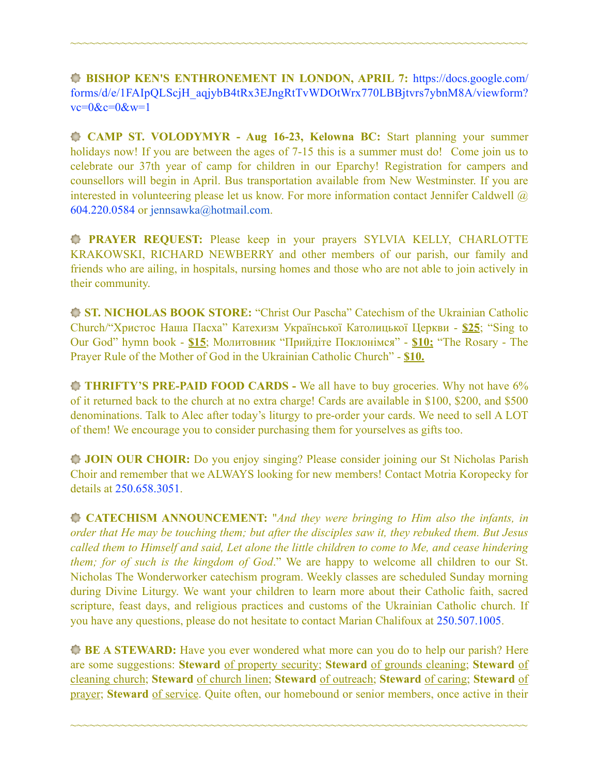**BISHOP KEN'S ENTHRONEMENT IN LONDON, APRIL 7:** [https://docs.google.com/](https://docs.google.com/forms/d/e/1FAIpQLScjH_aqjybB4tRx3EJngRtTvWDOtWrx770LBBjtvrs7ybnM8A/viewform?vc=0&c=0&w=1) [forms/d/e/1FAIpQLScjH\\_aqjybB4tRx3EJngRtTvWDOtWrx770LBBjtvrs7ybnM8A/viewform?](https://docs.google.com/forms/d/e/1FAIpQLScjH_aqjybB4tRx3EJngRtTvWDOtWrx770LBBjtvrs7ybnM8A/viewform?vc=0&c=0&w=1)  $vc=0$ & $c=0$ & $w=1$ 

~~~~~~~~~~~~~~~~~~~~~~~~~~~~~~~~~~~~~~~~~~~~~~~~~~~~~~~~~~~~~~~~~~~~~~~~

 **CAMP ST. VOLODYMYR - Aug 16-23, Kelowna BC:** Start planning your summer holidays now! If you are between the ages of 7-15 this is a summer must do! Come join us to celebrate our 37th year of camp for children in our Eparchy! Registration for campers and counsellors will begin in April. Bus transportation available from New Westminster. If you are interested in volunteering please let us know. For more information contact Jennifer Caldwell @ 604.220.0584 or [jennsawka@hotmail.com](mailto:jennsawka@hotmail.com).

**PRAYER REQUEST:** Please keep in your prayers SYLVIA KELLY, CHARLOTTE KRAKOWSKI, RICHARD NEWBERRY and other members of our parish, our family and friends who are ailing, in hospitals, nursing homes and those who are not able to join actively in their community.

**ST. NICHOLAS BOOK STORE:** "Christ Our Pascha" Catechism of the Ukrainian Catholic Church/"Христос Наша Пасха" Катехизм Української Католицької Церкви - **\$25**; "Sing to Our God" hymn book - **\$15**; Молитовник "Прийдіте Поклонімся" - **\$10;** "The Rosary - The Prayer Rule of the Mother of God in the Ukrainian Catholic Church" - **\$10.** 

**THRIFTY'S PRE-PAID FOOD CARDS -** We all have to buy groceries. Why not have 6% of it returned back to the church at no extra charge! Cards are available in \$100, \$200, and \$500 denominations. Talk to Alec after today's liturgy to pre-order your cards. We need to sell A LOT of them! We encourage you to consider purchasing them for yourselves as gifts too.

**JOIN OUR CHOIR:** Do you enjoy singing? Please consider joining our St Nicholas Parish Choir and remember that we ALWAYS looking for new members! Contact Motria Koropecky for details at 250.658.3051.

**CATECHISM ANNOUNCEMENT:** "*And they were bringing to Him also the infants, in order that He may be touching them; but after the disciples saw it, they rebuked them. But Jesus called them to Himself and said, Let alone the little children to come to Me, and cease hindering them; for of such is the kingdom of God*." We are happy to welcome all children to our St. Nicholas The Wonderworker catechism program. Weekly classes are scheduled Sunday morning during Divine Liturgy. We want your children to learn more about their Catholic faith, sacred scripture, feast days, and religious practices and customs of the Ukrainian Catholic church. If you have any questions, please do not hesitate to contact Marian Chalifoux at 250.507.1005.

**BE A STEWARD:** Have you ever wondered what more can you do to help our parish? Here are some suggestions: **Steward** of property security; **Steward** of grounds cleaning; **Steward** of cleaning church; **Steward** of church linen; **Steward** of outreach; **Steward** of caring; **Steward** of prayer; **Steward** of service. Quite often, our homebound or senior members, once active in their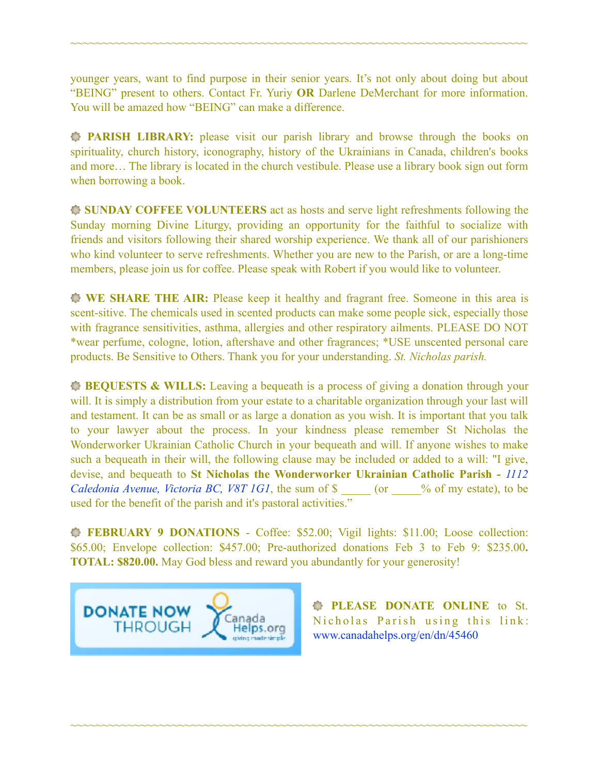younger years, want to find purpose in their senior years. It's not only about doing but about "BEING" present to others. Contact Fr. Yuriy **OR** Darlene DeMerchant for more information. You will be amazed how "BEING" can make a difference.

~~~~~~~~~~~~~~~~~~~~~~~~~~~~~~~~~~~~~~~~~~~~~~~~~~~~~~~~~~~~~~~~~~~~~~~~

**PARISH LIBRARY:** please visit our parish library and browse through the books on spirituality, church history, iconography, history of the Ukrainians in Canada, children's books and more… The library is located in the church vestibule. Please use a library book sign out form when borrowing a book.

**SUNDAY COFFEE VOLUNTEERS** act as hosts and serve light refreshments following the Sunday morning Divine Liturgy, providing an opportunity for the faithful to socialize with friends and visitors following their shared worship experience. We thank all of our parishioners who kind volunteer to serve refreshments. Whether you are new to the Parish, or are a long-time members, please join us for coffee. Please speak with Robert if you would like to volunteer.

**WE SHARE THE AIR:** Please keep it healthy and fragrant free. Someone in this area is scent-sitive. The chemicals used in scented products can make some people sick, especially those with fragrance sensitivities, asthma, allergies and other respiratory ailments. PLEASE DO NOT \*wear perfume, cologne, lotion, aftershave and other fragrances; \*USE unscented personal care products. Be Sensitive to Others. Thank you for your understanding. *St. Nicholas parish.* 

**BEQUESTS & WILLS:** Leaving a bequeath is a process of giving a donation through your will. It is simply a distribution from your estate to a charitable organization through your last will and testament. It can be as small or as large a donation as you wish. It is important that you talk to your lawyer about the process. In your kindness please remember St Nicholas the Wonderworker Ukrainian Catholic Church in your bequeath and will. If anyone wishes to make such a bequeath in their will, the following clause may be included or added to a will: "I give, devise, and bequeath to **St Nicholas the Wonderworker Ukrainian Catholic Parish -** *1112 Caledonia Avenue, Victoria BC, V8T 1G1*, the sum of \$  $\degree$  (or  $\degree$  % of my estate), to be used for the benefit of the parish and it's pastoral activities."

**FEBRUARY 9 DONATIONS** - Coffee: \$52.00; Vigil lights: \$11.00; Loose collection: \$65.00; Envelope collection: \$457.00; Pre-authorized donations Feb 3 to Feb 9: \$235.00**. TOTAL: \$820.00.** May God bless and reward you abundantly for your generosity!

~~~~~~~~~~~~~~~~~~~~~~~~~~~~~~~~~~~~~~~~~~~~~~~~~~~~~~~~~~~~~~~~~~~~~~~~



**PLEASE DONATE ONLINE** to St. Nicholas Parish using this link: [www.canadahelps.org/en/dn/45460](http://www.canadahelps.org/en/dn/45460)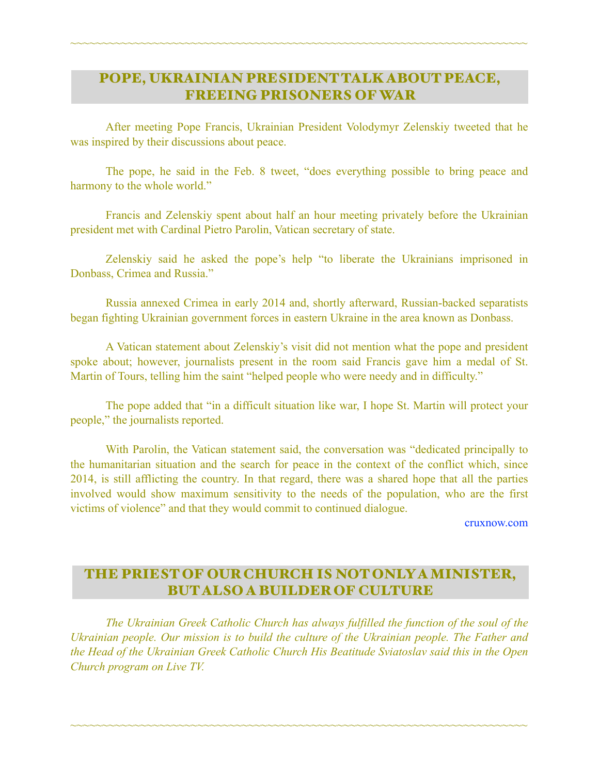# POPE, UKRAINIAN PRESIDENT TALK ABOUT PEACE, FREEING PRISONERS OF WAR

~~~~~~~~~~~~~~~~~~~~~~~~~~~~~~~~~~~~~~~~~~~~~~~~~~~~~~~~~~~~~~~~~~~~~~~~

 After meeting Pope Francis, Ukrainian President Volodymyr Zelenskiy tweeted that he was inspired by their discussions about peace.

 The pope, he said in the Feb. 8 tweet, "does everything possible to bring peace and harmony to the whole world."

 Francis and Zelenskiy spent about half an hour meeting privately before the Ukrainian president met with Cardinal Pietro Parolin, Vatican secretary of state.

 Zelenskiy said he asked the pope's help "to liberate the Ukrainians imprisoned in Donbass, Crimea and Russia."

 Russia annexed Crimea in early 2014 and, shortly afterward, Russian-backed separatists began fighting Ukrainian government forces in eastern Ukraine in the area known as Donbass.

 A Vatican statement about Zelenskiy's visit did not mention what the pope and president spoke about; however, journalists present in the room said Francis gave him a medal of St. Martin of Tours, telling him the saint "helped people who were needy and in difficulty."

 The pope added that "in a difficult situation like war, I hope St. Martin will protect your people," the journalists reported.

 With Parolin, the Vatican statement said, the conversation was "dedicated principally to the humanitarian situation and the search for peace in the context of the conflict which, since 2014, is still afflicting the country. In that regard, there was a shared hope that all the parties involved would show maximum sensitivity to the needs of the population, who are the first victims of violence" and that they would commit to continued dialogue.

[cruxnow.com](http://cruxnow.com)

# THE PRIEST OF OUR CHURCH IS NOT ONLY A MINISTER, BUT ALSO A BUILDER OF CULTURE

 *The Ukrainian Greek Catholic Church has always fulfilled the function of the soul of the Ukrainian people. Our mission is to build the culture of the Ukrainian people. The Father and the Head of the Ukrainian Greek Catholic Church His Beatitude Sviatoslav said this in the Open Church program on Live TV.*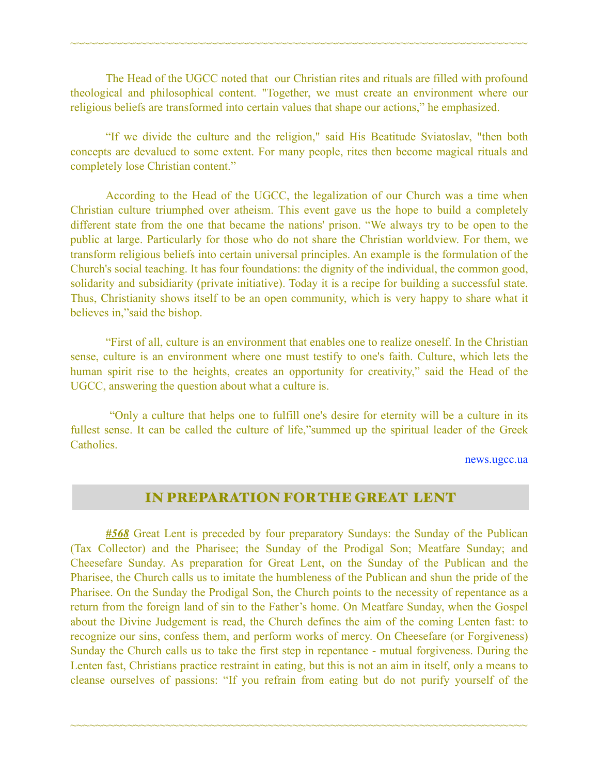The Head of the UGCC noted that our Christian rites and rituals are filled with profound theological and philosophical content. "Together, we must create an environment where our religious beliefs are transformed into certain values that shape our actions," he emphasized.

~~~~~~~~~~~~~~~~~~~~~~~~~~~~~~~~~~~~~~~~~~~~~~~~~~~~~~~~~~~~~~~~~~~~~~~~

 "If we divide the culture and the religion," said His Beatitude Sviatoslav, "then both concepts are devalued to some extent. For many people, rites then become magical rituals and completely lose Christian content."

 According to the Head of the UGCC, the legalization of our Church was a time when Christian culture triumphed over atheism. This event gave us the hope to build a completely different state from the one that became the nations' prison. "We always try to be open to the public at large. Particularly for those who do not share the Christian worldview. For them, we transform religious beliefs into certain universal principles. An example is the formulation of the Church's social teaching. It has four foundations: the dignity of the individual, the common good, solidarity and subsidiarity (private initiative). Today it is a recipe for building a successful state. Thus, Christianity shows itself to be an open community, which is very happy to share what it believes in,"said the bishop.

 "First of all, culture is an environment that enables one to realize oneself. In the Christian sense, culture is an environment where one must testify to one's faith. Culture, which lets the human spirit rise to the heights, creates an opportunity for creativity," said the Head of the UGCC, answering the question about what a culture is.

 "Only a culture that helps one to fulfill one's desire for eternity will be a culture in its fullest sense. It can be called the culture of life,"summed up the spiritual leader of the Greek **Catholics** 

[news.ugcc.ua](http://news.ugcc.ua) 

#### IN PREPARATION FOR THE GREAT LENT

*#568* Great Lent is preceded by four preparatory Sundays: the Sunday of the Publican (Tax Collector) and the Pharisee; the Sunday of the Prodigal Son; Meatfare Sunday; and Cheesefare Sunday. As preparation for Great Lent, on the Sunday of the Publican and the Pharisee, the Church calls us to imitate the humbleness of the Publican and shun the pride of the Pharisee. On the Sunday the Prodigal Son, the Church points to the necessity of repentance as a return from the foreign land of sin to the Father's home. On Meatfare Sunday, when the Gospel about the Divine Judgement is read, the Church defines the aim of the coming Lenten fast: to recognize our sins, confess them, and perform works of mercy. On Cheesefare (or Forgiveness) Sunday the Church calls us to take the first step in repentance - mutual forgiveness. During the Lenten fast, Christians practice restraint in eating, but this is not an aim in itself, only a means to cleanse ourselves of passions: "If you refrain from eating but do not purify yourself of the